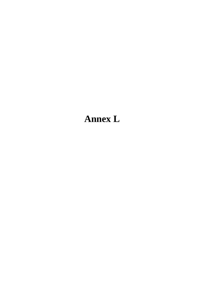# **Annex L**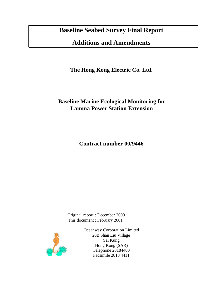## **Baseline Seabed Survey Final Report**

**Additions and Amendments**

**The Hong Kong Electric Co. Ltd.**

### **Baseline Marine Ecological Monitoring for Lamma Power Station Extension**

**Contract number 00/9446**

 Original report : December 2000 This document : February 2001



Oceanway Corporation Limited 20B Shan Liu Village Sai Kung Hong Kong (SAR) Telephone 28184400 Facsimile 2818 4411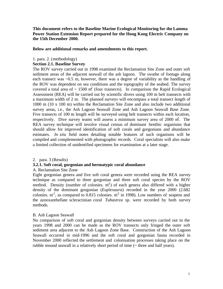**This document refers to the Baseline Marine Ecological Monitoring for the Lamma Power Station Extension Report prepared for the Hong Kong Electric Company on the 15th December 2000.**

#### **Below are additional remarks and amendments to this report.**

#### 1. para. 2. (methodology)

#### **Section 2.1. Baseline Survey**

The ROV survey carried out in 1998 examined the Reclamation Site Zone and outer soft sediment areas of the adjacent seawall of the ash lagoon. The swathe of footage along each transect was  $\sim 0.5$  m, however, there was a degree of variability as the handling of the ROV was dependent on sea conditions and the topography of the seabed. The survey covered a total area of  $\sim 1500 \text{ m}^2$  (four transects). In comparison the Rapid Ecological Assessment (REA) will be carried out by scientific divers using 100 m belt transects with a maximum width of 2 m. The planned surveys will encompass a total transect length of 1000 m (10 x 100 m) within the Reclamation Site Zone and also include two additional survey areas, i.e., the Ash Lagoon Seawall Zone and Ash Lagoon Seawall Base Zone. Five transects of 100 m length will be surveyed using belt transects within each location, respectively. Dive survey teams will assess a minimum survey area of 2000  $m<sup>2</sup>$ . The REA survey technique will involve visual census of dominant benthic organisms that should allow for improved identification of soft corals and gorgonians and abundance estimates. *In situ* field notes detailing notable features of such organisms will be compiled and complemented with photographic records. Coral specialists will also make a limited collection of unidentified specimens for examination at a later stage.

#### 2. para. 3 (Results)

#### **3.2.1. Soft coral, gorgonian and hermatypic coral abundance**

#### A. Reclamation Site Zone

Eight gorgonian genera and five soft coral genera were recorded using the REA survey technique as compared to three gorgonian and three soft coral species by the ROV method. Density (number of colonies.  $m<sup>2</sup>$ ) of each genera also differed with a higher density of the dominant gorgonian (*Euplexaura*) recorded in the year 2000 (2.682 colonies.  $m<sup>2</sup>$ , as compared to 0.815 colonies.  $m<sup>2</sup>$  in 1998). Low numbers of seapens and the azooxanthellate scleractinian coral *Tubastrea* sp. were recorded by both survey methods.

#### B. Ash Lagoon Seawall

No comparison of soft coral and gorgonian density between surveys carried out in the years 1998 and 2000 can be made as the ROV transects only fringed the outer soft sediment area adjacent to the Ash Lagoon Zone Base. Construction of the Ash Lagoon Seawall occurred in mid-1996 and the soft coral and gorgonian fauna recorded in November 2000 reflected the settlement and colonisation processes taking place on the rubble mound seawall in a relatively short period of time (~ three and half years).